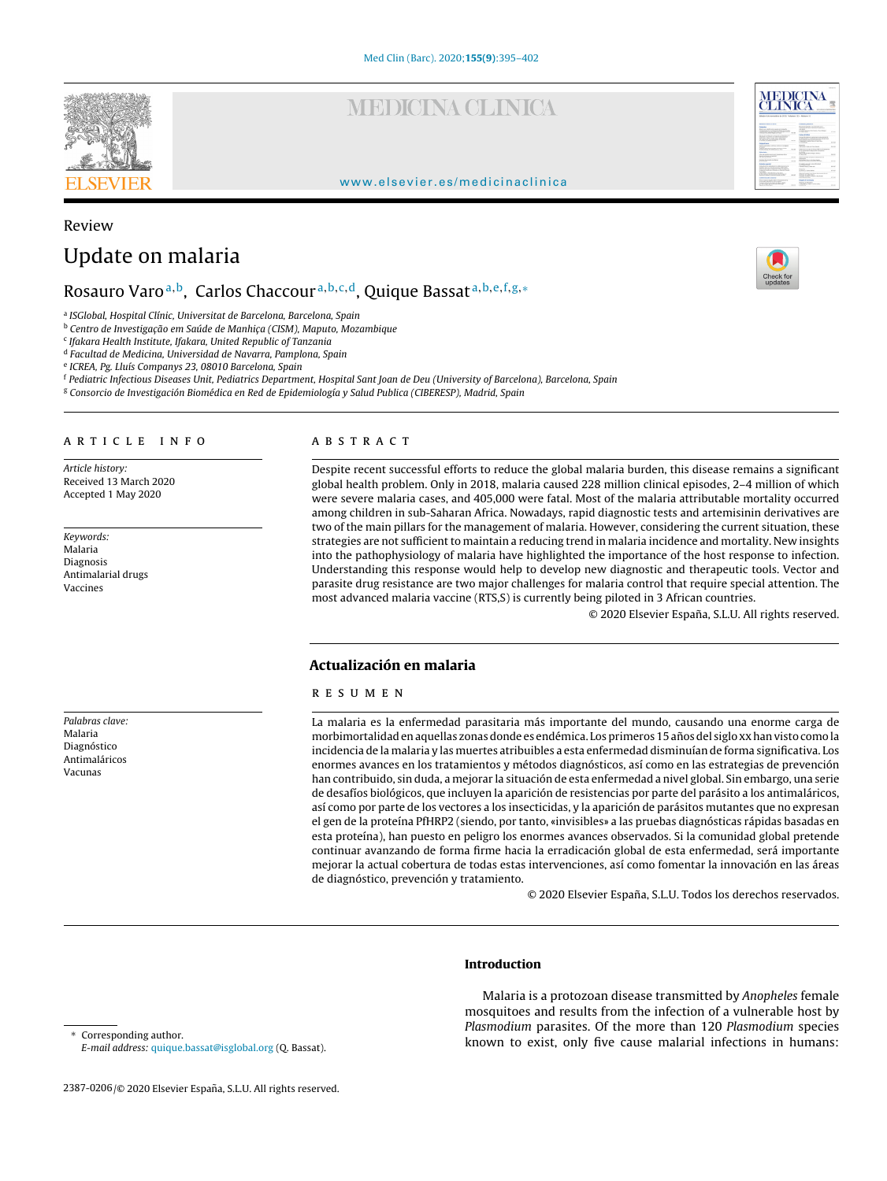**MEDICINA CLINICA** 

### www.elsevier.es/medicinaclinica

# Update on malaria

## Rosauro Varo<sup>a,b</sup>, Carlos Chaccour<sup>a,b,c,d</sup>, Quique Bassat<sup>a,b,e,f,g,∗</sup>

<sup>a</sup> ISGlobal, Hospital Clínic, Universitat de Barcelona, Barcelona, Spain

<sup>b</sup> Centro de Investigação em Saúde de Manhiça (CISM), Maputo, Mozambique

<sup>c</sup> Ifakara Health Institute, Ifakara, United Republic of Tanzania

<sup>d</sup> Facultad de Medicina, Universidad de Navarra, Pamplona, Spain

<sup>e</sup> ICREA, Pg. Lluís Companys 23, 08010 Barcelona, Spain

<sup>f</sup> Pediatric Infectious Diseases Unit, Pediatrics Department, Hospital Sant Joan de Deu (University of Barcelona), Barcelona, Spain

<sup>g</sup> Consorcio de Investigación Biomédica en Red de Epidemiología y Salud Publica (CIBERESP), Madrid, Spain

#### a r t i c l e i n f o

Article history: Received 13 March 2020 Accepted 1 May 2020

Keywords: Malaria Diagnosis Antimalarial drugs Vaccines

Palabras clave: Malaria Diagnóstico Antimaláricos Vacunas

### A B S T R A C T

Despite recent successful efforts to reduce the global malaria burden, this disease remains a significant global health problem. Only in 2018, malaria caused 228 million clinical episodes, 2–4 million of which were severe malaria cases, and 405,000 were fatal. Most of the malaria attributable mortality occurred among children in sub-Saharan Africa. Nowadays, rapid diagnostic tests and artemisinin derivatives are two of the main pillars for the management of malaria. However, considering the current situation, these strategies are not sufficient to maintain a reducing trend in malaria incidence and mortality. New insights into the pathophysiology of malaria have highlighted the importance of the host response to infection. Understanding this response would help to develop new diagnostic and therapeutic tools. Vector and parasite drug resistance are two major challenges for malaria control that require special attention. The most advanced malaria vaccine (RTS,S) is currently being piloted in 3 African countries.

© 2020 Elsevier España, S.L.U. All rights reserved.

#### **Actualización en malaria**

#### r e s u m e n

La malaria es la enfermedad parasitaria más importante del mundo, causando una enorme carga de morbimortalidad en aquellas zonas donde es endémica. Los primeros 15 años del siglo xx han visto como la incidencia de la malaria y las muertes atribuibles a esta enfermedad disminuían de forma significativa. Los enormes avances en los tratamientos y métodos diagnósticos, así como en las estrategias de prevención han contribuido, sin duda, a mejorar la situación de esta enfermedad a nivel global. Sin embargo, una serie de desafíos biológicos, que incluyen la aparición de resistencias por parte del parásito a los antimaláricos, así como por parte de los vectores a los insecticidas, y la aparición de parásitos mutantes que no expresan el gen de la proteína PfHRP2 (siendo, por tanto, «invisibles» a las pruebas diagnósticas rápidas basadas en esta proteína), han puesto en peligro los enormes avances observados. Si la comunidad global pretende continuar avanzando de forma firme hacia la erradicación global de esta enfermedad, será importante mejorar la actual cobertura de todas estas intervenciones, así como fomentar la innovación en las áreas de diagnóstico, prevención y tratamiento.

© 2020 Elsevier España, S.L.U. Todos los derechos reservados.

#### **Introduction**

Malaria is a protozoan disease transmitted by Anopheles female mosquitoes and results from the infection of a vulnerable host by Plasmodium parasites. Of the more than 120 Plasmodium species known to exist, only five cause malarial infections in humans:

Corresponding author. E-mail address: quique.bassat@isglobal.org (Q. Bassat).





Review

<sup>2387-0206/© 2020</sup> Elsevier España, S.L.U. All rights reserved.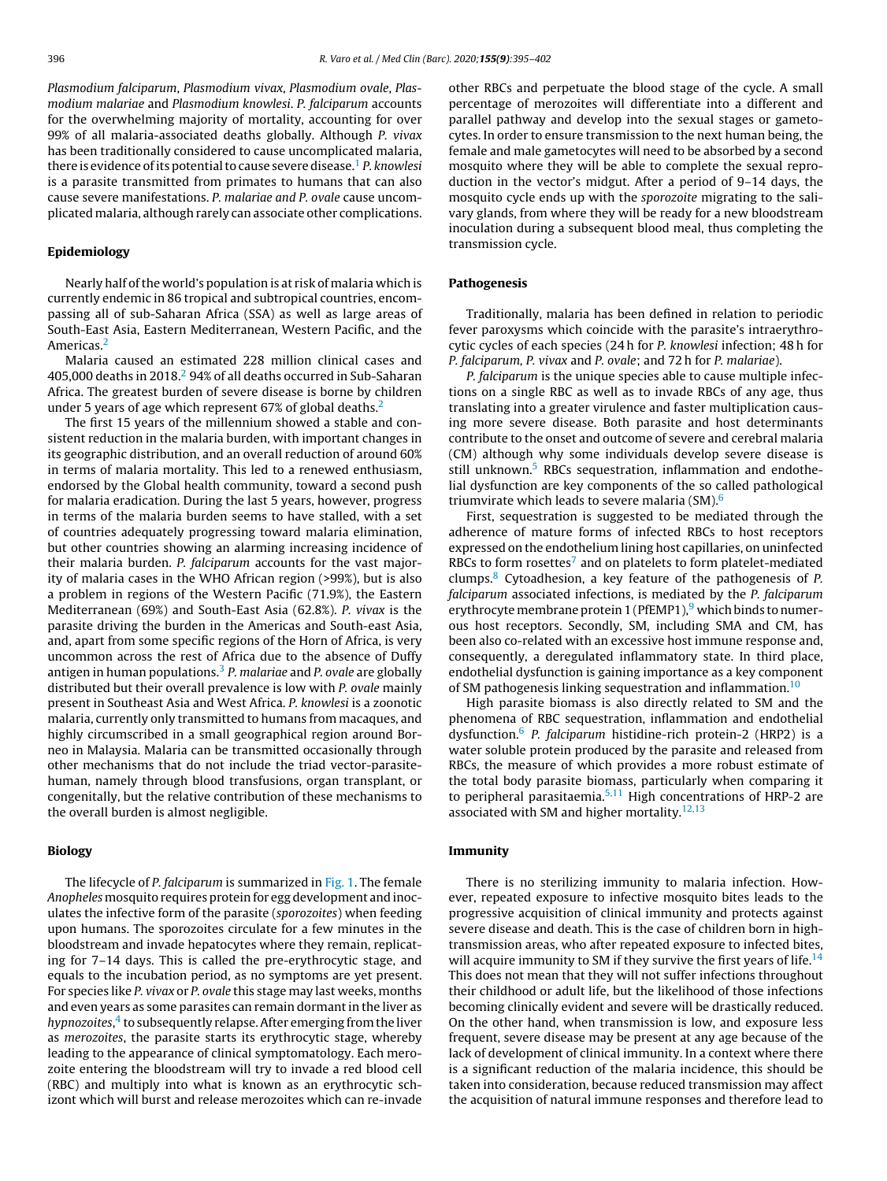Plasmodium falciparum, Plasmodium vivax, Plasmodium ovale, Plasmodium malariae and Plasmodium knowlesi. P. falciparum accounts for the overwhelming majority of mortality, accounting for over 99% of all malaria-associated deaths globally. Although P. vivax has been traditionally considered to cause uncomplicated malaria, there is evidence of its potential to cause severe disease.<sup>1</sup> P. knowlesi is a parasite transmitted from primates to humans that can also cause severe manifestations. P. malariae and P. ovale cause uncomplicated malaria, although rarely can associate other complications.

#### **Epidemiology**

Nearly half ofthe world's population is at risk of malaria which is currently endemic in 86 tropical and subtropical countries, encompassing all of sub-Saharan Africa (SSA) as well as large areas of South-East Asia, Eastern Mediterranean, Western Pacific, and the Americas.2

Malaria caused an estimated 228 million clinical cases and 405,000 deaths in 2018.<sup>2</sup> 94% of all deaths occurred in Sub-Saharan Africa. The greatest burden of severe disease is borne by children under 5 years of age which represent 67% of global deaths.<sup>2</sup>

The first 15 years of the millennium showed a stable and consistent reduction in the malaria burden, with important changes in its geographic distribution, and an overall reduction of around 60% in terms of malaria mortality. This led to a renewed enthusiasm, endorsed by the Global health community, toward a second push for malaria eradication. During the last 5 years, however, progress in terms of the malaria burden seems to have stalled, with a set of countries adequately progressing toward malaria elimination, but other countries showing an alarming increasing incidence of their malaria burden. P. falciparum accounts for the vast majority of malaria cases in the WHO African region (>99%), but is also a problem in regions of the Western Pacific (71.9%), the Eastern Mediterranean (69%) and South-East Asia (62.8%). P. vivax is the parasite driving the burden in the Americas and South-east Asia, and, apart from some specific regions of the Horn of Africa, is very uncommon across the rest of Africa due to the absence of Duffy antigen in human populations.<sup>3</sup> P. malariae and P. ovale are globally distributed but their overall prevalence is low with P. ovale mainly present in Southeast Asia and West Africa. P. knowlesi is a zoonotic malaria, currently only transmitted to humans from macaques, and highly circumscribed in a small geographical region around Borneo in Malaysia. Malaria can be transmitted occasionally through other mechanisms that do not include the triad vector-parasitehuman, namely through blood transfusions, organ transplant, or congenitally, but the relative contribution of these mechanisms to the overall burden is almost negligible.

#### **Biology**

The lifecycle of P. falciparum is summarized in Fig. 1. The female Anopheles mosquito requires protein for egg development and inoculates the infective form of the parasite (sporozoites) when feeding upon humans. The sporozoites circulate for a few minutes in the bloodstream and invade hepatocytes where they remain, replicating for 7–14 days. This is called the pre-erythrocytic stage, and equals to the incubation period, as no symptoms are yet present. For species like P. vivax or P. ovale this stage may last weeks, months and even years as some parasites can remain dormant in the liver as hypnozoites, $^4$  to subsequently relapse. After emerging from the liver as merozoites, the parasite starts its erythrocytic stage, whereby leading to the appearance of clinical symptomatology. Each merozoite entering the bloodstream will try to invade a red blood cell (RBC) and multiply into what is known as an erythrocytic schizont which will burst and release merozoites which can re-invade other RBCs and perpetuate the blood stage of the cycle. A small percentage of merozoites will differentiate into a different and parallel pathway and develop into the sexual stages or gametocytes. In order to ensure transmission to the next human being, the female and male gametocytes will need to be absorbed by a second mosquito where they will be able to complete the sexual reproduction in the vector's midgut. After a period of 9–14 days, the mosquito cycle ends up with the sporozoite migrating to the salivary glands, from where they will be ready for a new bloodstream inoculation during a subsequent blood meal, thus completing the transmission cycle.

#### **Pathogenesis**

Traditionally, malaria has been defined in relation to periodic fever paroxysms which coincide with the parasite's intraerythrocytic cycles of each species (24 h for P. knowlesi infection; 48 h for P. falciparum, P. vivax and P. ovale; and 72 h for P. malariae).

P. falciparum is the unique species able to cause multiple infections on a single RBC as well as to invade RBCs of any age, thus translating into a greater virulence and faster multiplication causing more severe disease. Both parasite and host determinants contribute to the onset and outcome of severe and cerebral malaria (CM) although why some individuals develop severe disease is still unknown.<sup>5</sup> RBCs sequestration, inflammation and endothelial dysfunction are key components of the so called pathological triumvirate which leads to severe malaria  $(SM)$ .<sup>6</sup>

First, sequestration is suggested to be mediated through the adherence of mature forms of infected RBCs to host receptors expressed on the endothelium lining host capillaries, on uninfected RBCs to form rosettes<sup>7</sup> and on platelets to form platelet-mediated clumps.8 Cytoadhesion, a key feature of the pathogenesis of P. falciparum associated infections, is mediated by the P. falciparum erythrocyte membrane protein 1 (PfEMP1), $9$  which binds to numerous host receptors. Secondly, SM, including SMA and CM, has been also co-related with an excessive host immune response and, consequently, a deregulated inflammatory state. In third place, endothelial dysfunction is gaining importance as a key component of SM pathogenesis linking sequestration and inflammation.<sup>10</sup>

High parasite biomass is also directly related to SM and the phenomena of RBC sequestration, inflammation and endothelial dysfunction.6 P. falciparum histidine-rich protein-2 (HRP2) is a water soluble protein produced by the parasite and released from RBCs, the measure of which provides a more robust estimate of the total body parasite biomass, particularly when comparing it to peripheral parasitaemia.<sup>5,11</sup> High concentrations of HRP-2 are associated with SM and higher mortality. $12,13$ 

#### **Immunity**

There is no sterilizing immunity to malaria infection. However, repeated exposure to infective mosquito bites leads to the progressive acquisition of clinical immunity and protects against severe disease and death. This is the case of children born in hightransmission areas, who after repeated exposure to infected bites, will acquire immunity to SM if they survive the first years of life.<sup>14</sup> This does not mean that they will not suffer infections throughout their childhood or adult life, but the likelihood of those infections becoming clinically evident and severe will be drastically reduced. On the other hand, when transmission is low, and exposure less frequent, severe disease may be present at any age because of the lack of development of clinical immunity. In a context where there is a significant reduction of the malaria incidence, this should be taken into consideration, because reduced transmission may affect the acquisition of natural immune responses and therefore lead to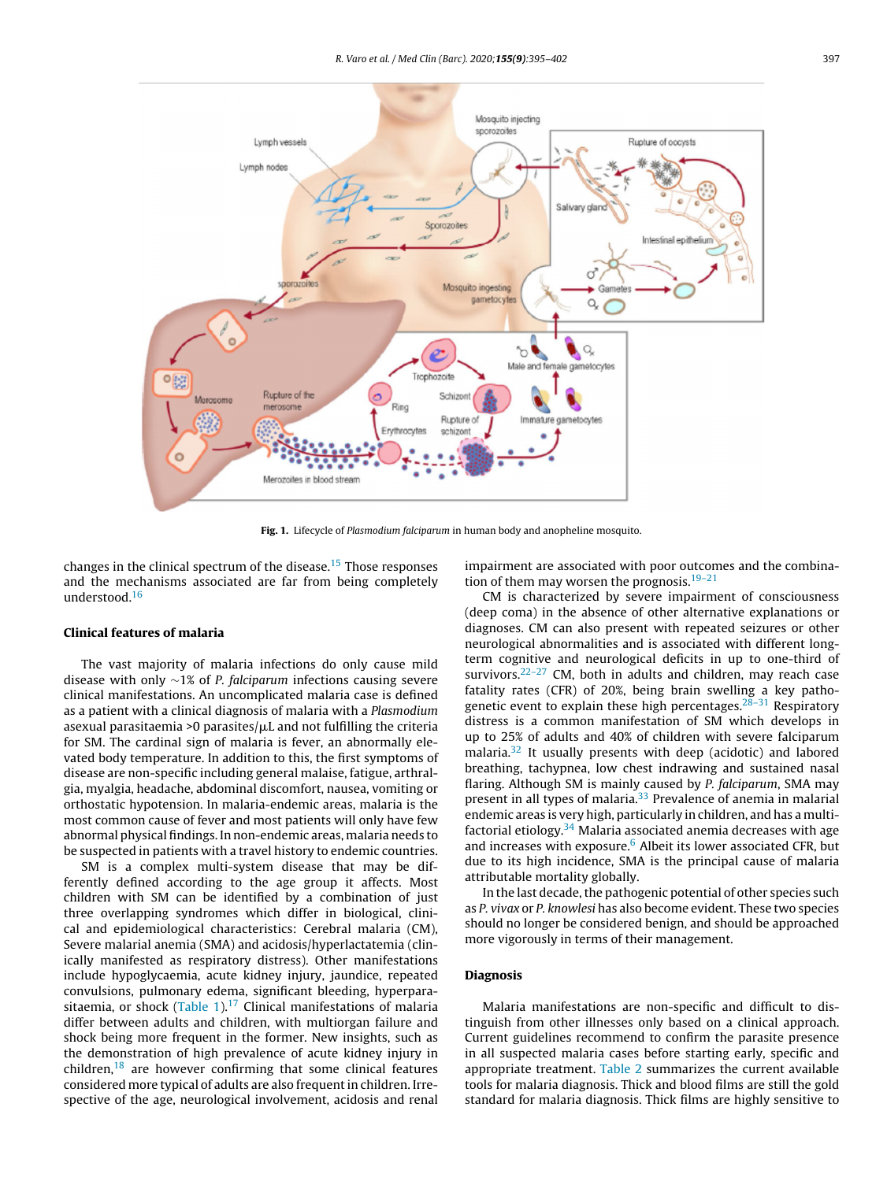

**Fig. 1.** Lifecycle of Plasmodium falciparum in human body and anopheline mosquito.

changes in the clinical spectrum of the disease.15 Those responses and the mechanisms associated are far from being completely understood.16

#### **Clinical features of malaria**

The vast majority of malaria infections do only cause mild disease with only ∼1% of P. falciparum infections causing severe clinical manifestations. An uncomplicated malaria case is defined as a patient with a clinical diagnosis of malaria with a Plasmodium asexual parasitaemia >0 parasites/ $\mu$ L and not fulfilling the criteria for SM. The cardinal sign of malaria is fever, an abnormally elevated body temperature. In addition to this, the first symptoms of disease are non-specific including general malaise, fatigue, arthralgia, myalgia, headache, abdominal discomfort, nausea, vomiting or orthostatic hypotension. In malaria-endemic areas, malaria is the most common cause of fever and most patients will only have few abnormal physical findings. In non-endemic areas, malaria needs to be suspected in patients with a travel history to endemic countries.

SM is a complex multi-system disease that may be differently defined according to the age group it affects. Most children with SM can be identified by a combination of just three overlapping syndromes which differ in biological, clinical and epidemiological characteristics: Cerebral malaria (CM), Severe malarial anemia (SMA) and acidosis/hyperlactatemia (clinically manifested as respiratory distress). Other manifestations include hypoglycaemia, acute kidney injury, jaundice, repeated convulsions, pulmonary edema, significant bleeding, hyperparasitaemia, or shock  $(Table 1).<sup>17</sup>$  Clinical manifestations of malaria differ between adults and children, with multiorgan failure and shock being more frequent in the former. New insights, such as the demonstration of high prevalence of acute kidney injury in children, $18$  are however confirming that some clinical features considered more typical of adults are also frequent in children. Irrespective of the age, neurological involvement, acidosis and renal

impairment are associated with poor outcomes and the combination of them may worsen the prognosis. $19-21$ 

CM is characterized by severe impairment of consciousness (deep coma) in the absence of other alternative explanations or diagnoses. CM can also present with repeated seizures or other neurological abnormalities and is associated with different longterm cognitive and neurological deficits in up to one-third of survivors. $22-27$  CM, both in adults and children, may reach case fatality rates (CFR) of 20%, being brain swelling a key pathogenetic event to explain these high percentages. $28-31$  Respiratory distress is a common manifestation of SM which develops in up to 25% of adults and 40% of children with severe falciparum malaria.<sup>32</sup> It usually presents with deep (acidotic) and labored breathing, tachypnea, low chest indrawing and sustained nasal flaring. Although SM is mainly caused by P. falciparum, SMA may present in all types of malaria.<sup>33</sup> Prevalence of anemia in malarial endemic areas is very high, particularly in children, and has a multifactorial etiology. $34$  Malaria associated anemia decreases with age and increases with exposure. $6$  Albeit its lower associated CFR, but due to its high incidence, SMA is the principal cause of malaria attributable mortality globally.

In the last decade, the pathogenic potential of other species such as P. vivax or P. knowlesi has also become evident. These two species should no longer be considered benign, and should be approached more vigorously in terms of their management.

#### **Diagnosis**

Malaria manifestations are non-specific and difficult to distinguish from other illnesses only based on a clinical approach. Current guidelines recommend to confirm the parasite presence in all suspected malaria cases before starting early, specific and appropriate treatment. Table 2 summarizes the current available tools for malaria diagnosis. Thick and blood films are still the gold standard for malaria diagnosis. Thick films are highly sensitive to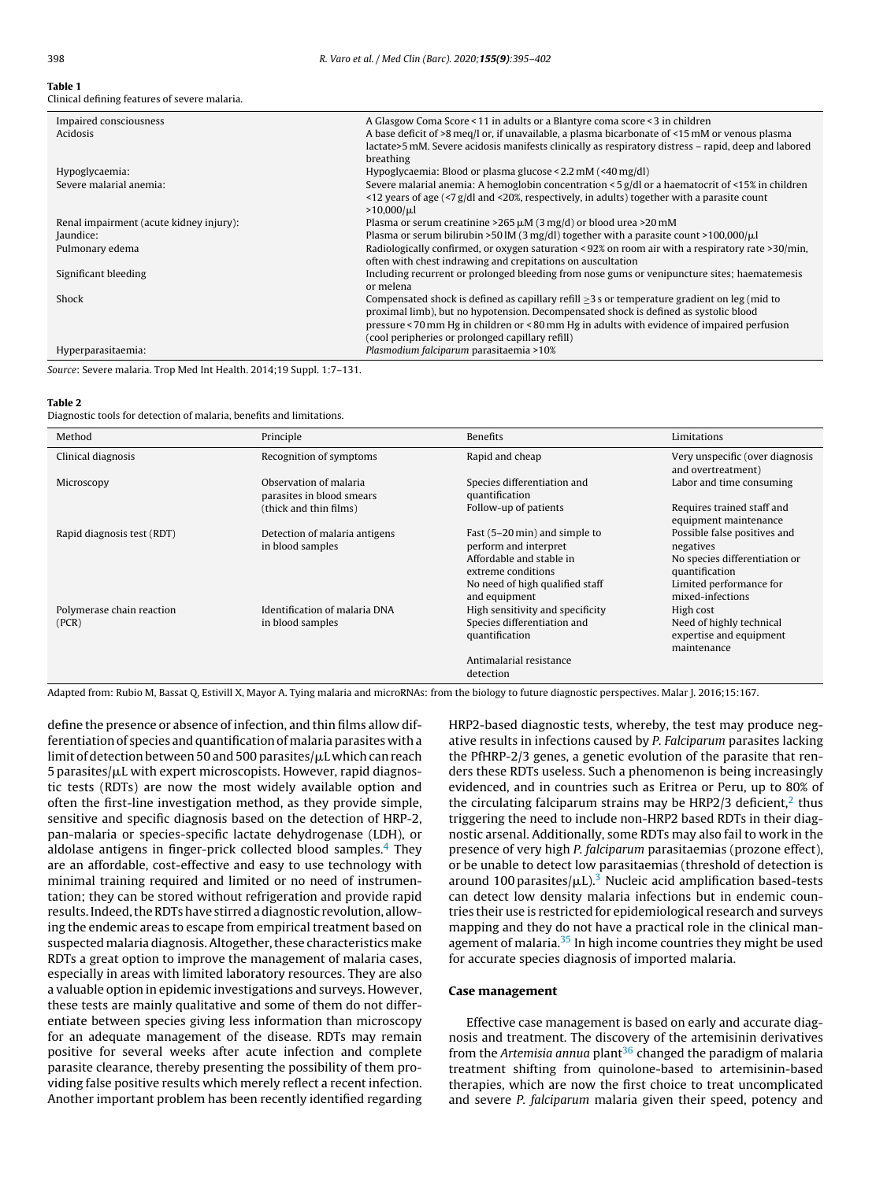# **Table 1**

| Clinical defining features of severe malaria. |  |  |  |
|-----------------------------------------------|--|--|--|
|-----------------------------------------------|--|--|--|

| Impaired consciousness                  | A Glasgow Coma Score < 11 in adults or a Blantyre coma score < 3 in children                                 |
|-----------------------------------------|--------------------------------------------------------------------------------------------------------------|
| <b>Acidosis</b>                         | A base deficit of >8 meg/l or, if unavailable, a plasma bicarbonate of <15 mM or venous plasma               |
|                                         | lactate>5 mM. Severe acidosis manifests clinically as respiratory distress – rapid, deep and labored         |
|                                         | breathing                                                                                                    |
| Hypoglycaemia:                          | Hypoglycaemia: Blood or plasma glucose < $2.2 \text{ mM}$ (<40 mg/dl)                                        |
| Severe malarial anemia:                 | Severe malarial anemia: A hemoglobin concentration $\leq 5$ g/dl or a haematocrit of $\leq 15\%$ in children |
|                                         | $\le$ 12 years of age (<7 g/dl and <20%, respectively, in adults) together with a parasite count             |
|                                         | $>10,000/\mu l$                                                                                              |
| Renal impairment (acute kidney injury): | Plasma or serum creatinine >265 $\mu$ M (3 mg/d) or blood urea >20 mM                                        |
| Jaundice:                               | Plasma or serum bilirubin >50 lM (3 mg/dl) together with a parasite count >100,000/ $\mu$ l                  |
| Pulmonary edema                         | Radiologically confirmed, or oxygen saturation < 92% on room air with a respiratory rate >30/min,            |
|                                         | often with chest indrawing and crepitations on auscultation                                                  |
| Significant bleeding                    | Including recurrent or prolonged bleeding from nose gums or venipuncture sites; haematemesis                 |
|                                         | or melena                                                                                                    |
| <b>Shock</b>                            | Compensated shock is defined as capillary refill $\geq$ 3 s or temperature gradient on leg (mid to           |
|                                         | proximal limb), but no hypotension. Decompensated shock is defined as systolic blood                         |
|                                         | pressure < 70 mm Hg in children or < 80 mm Hg in adults with evidence of impaired perfusion                  |
|                                         | (cool peripheries or prolonged capillary refill)                                                             |
| Hyperparasitaemia:                      | Plasmodium falciparum parasitaemia >10%                                                                      |
|                                         |                                                                                                              |

Source: Severe malaria. Trop Med Int Health. 2014;19 Suppl. 1:7–131.

#### **Table 2**

Diagnostic tools for detection of malaria, benefits and limitations.

| Method                             | Principle                                           | <b>Benefits</b>                                                                                                                                              | Limitations                                                                                                                                 |
|------------------------------------|-----------------------------------------------------|--------------------------------------------------------------------------------------------------------------------------------------------------------------|---------------------------------------------------------------------------------------------------------------------------------------------|
| Clinical diagnosis                 | Recognition of symptoms                             | Rapid and cheap                                                                                                                                              | Very unspecific (over diagnosis<br>and overtreatment)                                                                                       |
| Microscopy                         | Observation of malaria<br>parasites in blood smears | Species differentiation and<br>quantification                                                                                                                | Labor and time consuming                                                                                                                    |
|                                    | (thick and thin films)                              | Follow-up of patients                                                                                                                                        | Requires trained staff and<br>equipment maintenance                                                                                         |
| Rapid diagnosis test (RDT)         | Detection of malaria antigens<br>in blood samples   | Fast (5-20 min) and simple to<br>perform and interpret<br>Affordable and stable in<br>extreme conditions<br>No need of high qualified staff<br>and equipment | Possible false positives and<br>negatives<br>No species differentiation or<br>quantification<br>Limited performance for<br>mixed-infections |
| Polymerase chain reaction<br>(PCR) | Identification of malaria DNA<br>in blood samples   | High sensitivity and specificity<br>Species differentiation and<br>quantification<br>Antimalarial resistance                                                 | High cost<br>Need of highly technical<br>expertise and equipment<br>maintenance                                                             |
|                                    |                                                     | detection                                                                                                                                                    |                                                                                                                                             |

Adapted from: Rubio M, Bassat Q, Estivill X, Mayor A. Tying malaria and microRNAs: from the biology to future diagnostic perspectives. Malar J. 2016;15:167.

define the presence or absence of infection, and thin films allow differentiation of species and quantification of malaria parasites with a limit of detection between 50 and 500 parasites/µL which can reach 5 parasites/ $\mu$ L with expert microscopists. However, rapid diagnostic tests (RDTs) are now the most widely available option and often the first-line investigation method, as they provide simple, sensitive and specific diagnosis based on the detection of HRP-2, pan-malaria or species-specific lactate dehydrogenase (LDH), or aldolase antigens in finger-prick collected blood samples. $4$  They are an affordable, cost-effective and easy to use technology with minimal training required and limited or no need of instrumentation; they can be stored without refrigeration and provide rapid results. Indeed, the RDTs have stirred a diagnostic revolution, allowing the endemic areas to escape from empirical treatment based on suspected malaria diagnosis. Altogether, these characteristics make RDTs a great option to improve the management of malaria cases, especially in areas with limited laboratory resources. They are also a valuable option in epidemic investigations and surveys. However, these tests are mainly qualitative and some of them do not differentiate between species giving less information than microscopy for an adequate management of the disease. RDTs may remain positive for several weeks after acute infection and complete parasite clearance, thereby presenting the possibility of them providing false positive results which merely reflect a recent infection. Another important problem has been recently identified regarding HRP2-based diagnostic tests, whereby, the test may produce negative results in infections caused by P. Falciparum parasites lacking the PfHRP-2/3 genes, a genetic evolution of the parasite that renders these RDTs useless. Such a phenomenon is being increasingly evidenced, and in countries such as Eritrea or Peru, up to 80% of the circulating falciparum strains may be HRP2/3 deficient, $<sup>2</sup>$  thus</sup> triggering the need to include non-HRP2 based RDTs in their diagnostic arsenal. Additionally, some RDTs may also fail to work in the presence of very high P. falciparum parasitaemias (prozone effect), or be unable to detect low parasitaemias (threshold of detection is around 100 parasites/ $\mu$ L).<sup>3</sup> Nucleic acid amplification based-tests can detect low density malaria infections but in endemic countries their use is restricted for epidemiological research and surveys mapping and they do not have a practical role in the clinical management of malaria.<sup>35</sup> In high income countries they might be used for accurate species diagnosis of imported malaria.

#### **Case management**

Effective case management is based on early and accurate diagnosis and treatment. The discovery of the artemisinin derivatives from the Artemisia annua plant $36$  changed the paradigm of malaria treatment shifting from quinolone-based to artemisinin-based therapies, which are now the first choice to treat uncomplicated and severe P. falciparum malaria given their speed, potency and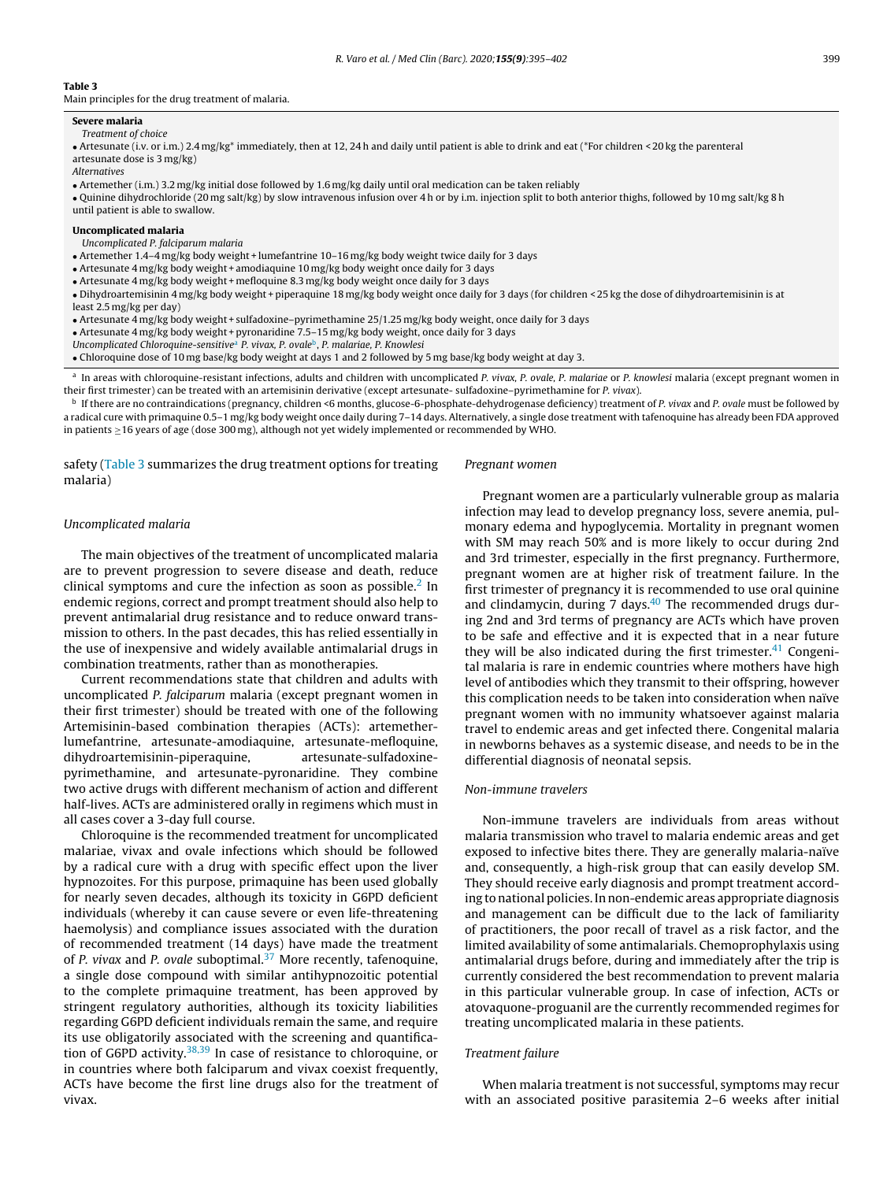#### **Table 3**

Main principles for the drug treatment of malaria.

#### **Severe malaria**

#### Treatment of choice

• Artesunate (i.v. or i.m.) 2.4 mg/kg\* immediately, then at 12, 24 h and daily until patient is able to drink and eat (\*For children < 20 kg the parenteral artesunate dose is 3 mg/kg)

**Alternatives** 

• Artemether (i.m.) 3.2 mg/kg initial dose followed by 1.6 mg/kg daily until oral medication can be taken reliably

• Quinine dihydrochloride (20 mg salt/kg) by slow intravenous infusion over 4 h or by i.m. injection split to both anterior thighs, followed by 10 mg salt/kg 8 h until patient is able to swallow.

#### **Uncomplicated malaria**

Uncomplicated P. falciparum malaria

• Artemether 1.4–4 mg/kg body weight + lumefantrine 10–16 mg/kg body weight twice daily for 3 days

• Artesunate 4 mg/kg body weight + amodiaquine 10 mg/kg body weight once daily for 3 days

• Artesunate 4 mg/kg body weight + mefloquine 8.3 mg/kg body weight once daily for 3 days

• Dihydroartemisinin 4 mg/kg body weight + piperaquine 18 mg/kg body weight once daily for 3 days (for children < 25 kg the dose of dihydroartemisinin is at least 2.5 mg/kg per day)

• Artesunate 4 mg/kg body weight + sulfadoxine–pyrimethamine 25/1.25 mg/kg body weight, once daily for 3 days

• Artesunate 4 mg/kg body weight + pyronaridine 7.5–15 mg/kg body weight, once daily for 3 days

Uncomplicated Chloroquine-sensitive<sup>a</sup> P. vivax, P. ovaleb, P. malariae, P. Knowlesi

• Chloroquine dose of 10 mg base/kg body weight at days 1 and 2 followed by 5 mg base/kg body weight at day 3.

<sup>a</sup> In areas with chloroquine-resistant infections, adults and children with uncomplicated P. vivax, P. ovale, P. malariae or P. knowlesi malaria (except pregnant women in their first trimester) can be treated with an artemisinin derivative (except artesunate- sulfadoxine–pyrimethamine for P. vivax).

<sup>b</sup> If there are no contraindications (pregnancy, children <6 months, glucose-6-phosphate-dehydrogenase deficiency) treatment of P. vivax and P. ovale must be followed by a radical cure with primaquine 0.5-1 mg/kg body weight once daily during 7-14 days. Alternatively, a single dose treatment with tafenoquine has already been FDA approved in patients ≥16 years of age (dose 300 mg), although not yet widely implemented or recommended by WHO.

safety (Table 3 summarizes the drug treatment options for treating malaria)

Pregnant women

#### Uncomplicated malaria

The main objectives of the treatment of uncomplicated malaria are to prevent progression to severe disease and death, reduce clinical symptoms and cure the infection as soon as possible. $2 \text{ In }$ endemic regions, correct and prompt treatment should also help to prevent antimalarial drug resistance and to reduce onward transmission to others. In the past decades, this has relied essentially in the use of inexpensive and widely available antimalarial drugs in combination treatments, rather than as monotherapies.

Current recommendations state that children and adults with uncomplicated P. falciparum malaria (except pregnant women in their first trimester) should be treated with one of the following Artemisinin-based combination therapies (ACTs): artemetherlumefantrine, artesunate-amodiaquine, artesunate-mefloquine, dihydroartemisinin-piperaquine, artesunate-sulfadoxinepyrimethamine, and artesunate-pyronaridine. They combine two active drugs with different mechanism of action and different half-lives. ACTs are administered orally in regimens which must in all cases cover a 3-day full course.

Chloroquine is the recommended treatment for uncomplicated malariae, vivax and ovale infections which should be followed by a radical cure with a drug with specific effect upon the liver hypnozoites. For this purpose, primaquine has been used globally for nearly seven decades, although its toxicity in G6PD deficient individuals (whereby it can cause severe or even life-threatening haemolysis) and compliance issues associated with the duration of recommended treatment (14 days) have made the treatment of P. vivax and P. ovale suboptimal. $37$  More recently, tafenoquine, a single dose compound with similar antihypnozoitic potential to the complete primaquine treatment, has been approved by stringent regulatory authorities, although its toxicity liabilities regarding G6PD deficient individuals remain the same, and require its use obligatorily associated with the screening and quantification of G6PD activity.  $38,39$  In case of resistance to chloroquine, or in countries where both falciparum and vivax coexist frequently, ACTs have become the first line drugs also for the treatment of vivax.

Pregnant women are a particularly vulnerable group as malaria infection may lead to develop pregnancy loss, severe anemia, pulmonary edema and hypoglycemia. Mortality in pregnant women with SM may reach 50% and is more likely to occur during 2nd and 3rd trimester, especially in the first pregnancy. Furthermore, pregnant women are at higher risk of treatment failure. In the first trimester of pregnancy it is recommended to use oral quinine and clindamycin, during 7 days. $40$  The recommended drugs during 2nd and 3rd terms of pregnancy are ACTs which have proven to be safe and effective and it is expected that in a near future they will be also indicated during the first trimester. $41$  Congenital malaria is rare in endemic countries where mothers have high level of antibodies which they transmit to their offspring, however this complication needs to be taken into consideration when naïve pregnant women with no immunity whatsoever against malaria travel to endemic areas and get infected there. Congenital malaria in newborns behaves as a systemic disease, and needs to be in the differential diagnosis of neonatal sepsis.

#### Non-immune travelers

Non-immune travelers are individuals from areas without malaria transmission who travel to malaria endemic areas and get exposed to infective bites there. They are generally malaria-naïve and, consequently, a high-risk group that can easily develop SM. They should receive early diagnosis and prompt treatment according to national policies. In non-endemic areas appropriate diagnosis and management can be difficult due to the lack of familiarity of practitioners, the poor recall of travel as a risk factor, and the limited availability of some antimalarials. Chemoprophylaxis using antimalarial drugs before, during and immediately after the trip is currently considered the best recommendation to prevent malaria in this particular vulnerable group. In case of infection, ACTs or atovaquone-proguanil are the currently recommended regimes for treating uncomplicated malaria in these patients.

#### Treatment failure

When malaria treatment is not successful, symptoms may recur with an associated positive parasitemia 2–6 weeks after initial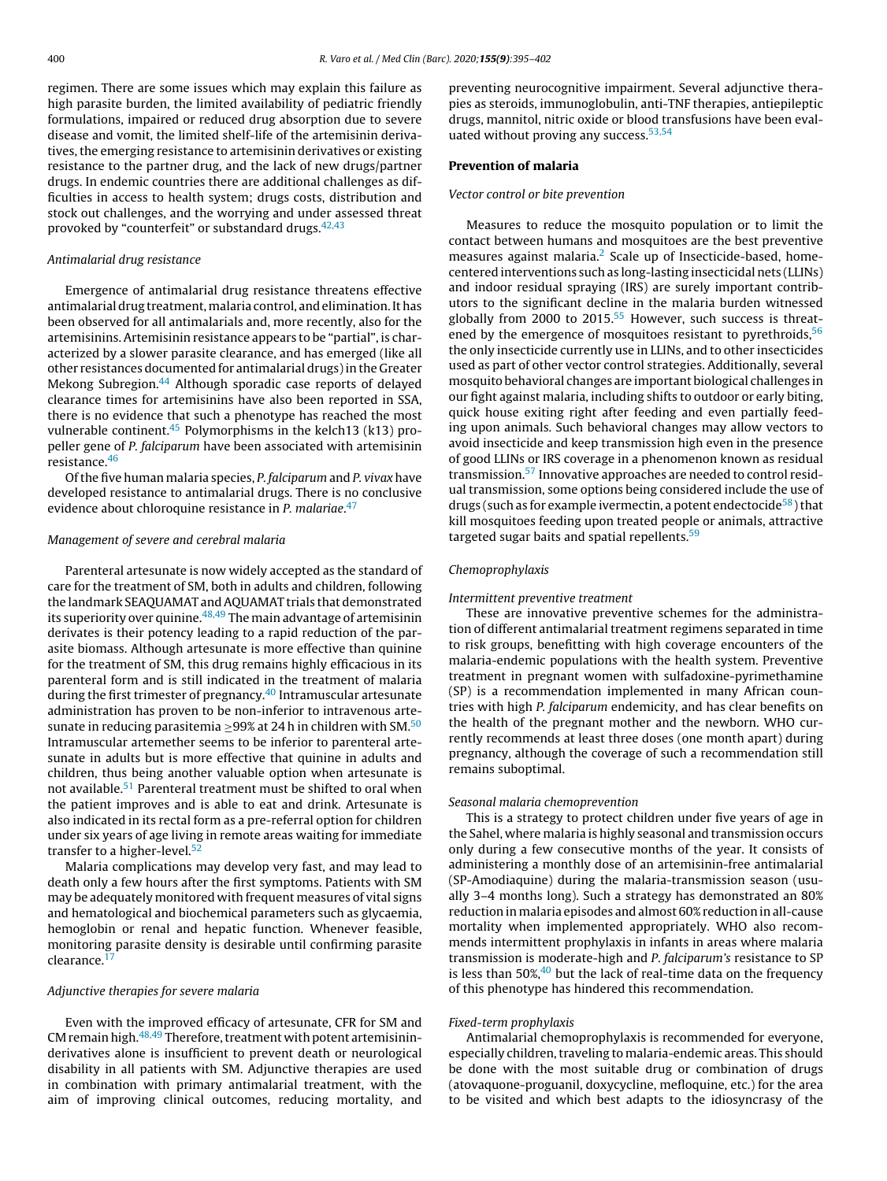regimen. There are some issues which may explain this failure as high parasite burden, the limited availability of pediatric friendly formulations, impaired or reduced drug absorption due to severe disease and vomit, the limited shelf-life of the artemisinin derivatives, the emerging resistance to artemisinin derivatives or existing resistance to the partner drug, and the lack of new drugs/partner drugs. In endemic countries there are additional challenges as difficulties in access to health system; drugs costs, distribution and stock out challenges, and the worrying and under assessed threat provoked by "counterfeit" or substandard drugs.42,43

#### Antimalarial drug resistance

Emergence of antimalarial drug resistance threatens effective antimalarial drug treatment, malaria control, and elimination. It has been observed for all antimalarials and, more recently, also for the artemisinins. Artemisinin resistance appears to be "partial", is characterized by a slower parasite clearance, and has emerged (like all other resistances documented for antimalarial drugs) in the Greater Mekong Subregion.44 Although sporadic case reports of delayed clearance times for artemisinins have also been reported in SSA, there is no evidence that such a phenotype has reached the most vulnerable continent. $45$  Polymorphisms in the kelch13 (k13) propeller gene of P. falciparum have been associated with artemisinin resistance.46

Ofthe five human malaria species, P. falciparum and P. vivax have developed resistance to antimalarial drugs. There is no conclusive evidence about chloroquine resistance in P. malariae.<sup>47</sup>

#### Management of severe and cerebral malaria

Parenteral artesunate is now widely accepted as the standard of care for the treatment of SM, both in adults and children, following the landmark SEAQUAMAT and AQUAMAT trials that demonstrated its superiority over quinine.  $48,49$  The main advantage of artemisinin derivates is their potency leading to a rapid reduction of the parasite biomass. Although artesunate is more effective than quinine for the treatment of SM, this drug remains highly efficacious in its parenteral form and is still indicated in the treatment of malaria during the first trimester of pregnancy.<sup>40</sup> Intramuscular artesunate administration has proven to be non-inferior to intravenous artesunate in reducing parasitemia  $\geq$ 99% at 24 h in children with SM.<sup>50</sup> Intramuscular artemether seems to be inferior to parenteral artesunate in adults but is more effective that quinine in adults and children, thus being another valuable option when artesunate is not available.51 Parenteral treatment must be shifted to oral when the patient improves and is able to eat and drink. Artesunate is also indicated in its rectal form as a pre-referral option for children under six years of age living in remote areas waiting for immediate transfer to a higher-level.<sup>52</sup>

Malaria complications may develop very fast, and may lead to death only a few hours after the first symptoms. Patients with SM may be adequately monitored with frequent measures of vital signs and hematological and biochemical parameters such as glycaemia, hemoglobin or renal and hepatic function. Whenever feasible, monitoring parasite density is desirable until confirming parasite clearance. $<sup>1</sup>$ </sup>

#### Adjunctive therapies for severe malaria

Even with the improved efficacy of artesunate, CFR for SM and CM remain high.<sup>48,49</sup> Therefore, treatment with potent artemisininderivatives alone is insufficient to prevent death or neurological disability in all patients with SM. Adjunctive therapies are used in combination with primary antimalarial treatment, with the aim of improving clinical outcomes, reducing mortality, and

preventing neurocognitive impairment. Several adjunctive therapies as steroids, immunoglobulin, anti-TNF therapies, antiepileptic drugs, mannitol, nitric oxide or blood transfusions have been evaluated without proving any success.<sup>53,54</sup>

#### **Prevention of malaria**

#### Vector control or bite prevention

Measures to reduce the mosquito population or to limit the contact between humans and mosquitoes are the best preventive measures against malaria. $<sup>2</sup>$  Scale up of Insecticide-based, home-</sup> centered interventions such as long-lasting insecticidal nets (LLINs) and indoor residual spraying (IRS) are surely important contributors to the significant decline in the malaria burden witnessed globally from 2000 to  $2015$ <sup>55</sup> However, such success is threatened by the emergence of mosquitoes resistant to pyrethroids,  $56$ the only insecticide currently use in LLINs, and to other insecticides used as part of other vector control strategies. Additionally, several mosquito behavioral changes are important biological challenges in our fight against malaria, including shifts to outdoor or early biting, quick house exiting right after feeding and even partially feeding upon animals. Such behavioral changes may allow vectors to avoid insecticide and keep transmission high even in the presence of good LLINs or IRS coverage in a phenomenon known as residual transmission.57 Innovative approaches are needed to control residual transmission, some options being considered include the use of drugs (such as for example ivermectin, a potent endectocide<sup>58</sup>) that kill mosquitoes feeding upon treated people or animals, attractive targeted sugar baits and spatial repellents.<sup>59</sup>

#### Chemoprophylaxis

#### Intermittent preventive treatment

These are innovative preventive schemes for the administration of different antimalarial treatment regimens separated in time to risk groups, benefitting with high coverage encounters of the malaria-endemic populations with the health system. Preventive treatment in pregnant women with sulfadoxine-pyrimethamine (SP) is a recommendation implemented in many African countries with high P. falciparum endemicity, and has clear benefits on the health of the pregnant mother and the newborn. WHO currently recommends at least three doses (one month apart) during pregnancy, although the coverage of such a recommendation still remains suboptimal.

#### Seasonal malaria chemoprevention

This is a strategy to protect children under five years of age in the Sahel, where malaria is highly seasonal and transmission occurs only during a few consecutive months of the year. It consists of administering a monthly dose of an artemisinin-free antimalarial (SP-Amodiaquine) during the malaria-transmission season (usually 3–4 months long). Such a strategy has demonstrated an 80% reduction in malaria episodes and almost 60%reduction in all-cause mortality when implemented appropriately. WHO also recommends intermittent prophylaxis in infants in areas where malaria transmission is moderate-high and P. falciparum's resistance to SP is less than 50%, $40$  but the lack of real-time data on the frequency of this phenotype has hindered this recommendation.

#### Fixed-term prophylaxis

Antimalarial chemoprophylaxis is recommended for everyone, especially children, traveling to malaria-endemic areas. This should be done with the most suitable drug or combination of drugs (atovaquone-proguanil, doxycycline, mefloquine, etc.) for the area to be visited and which best adapts to the idiosyncrasy of the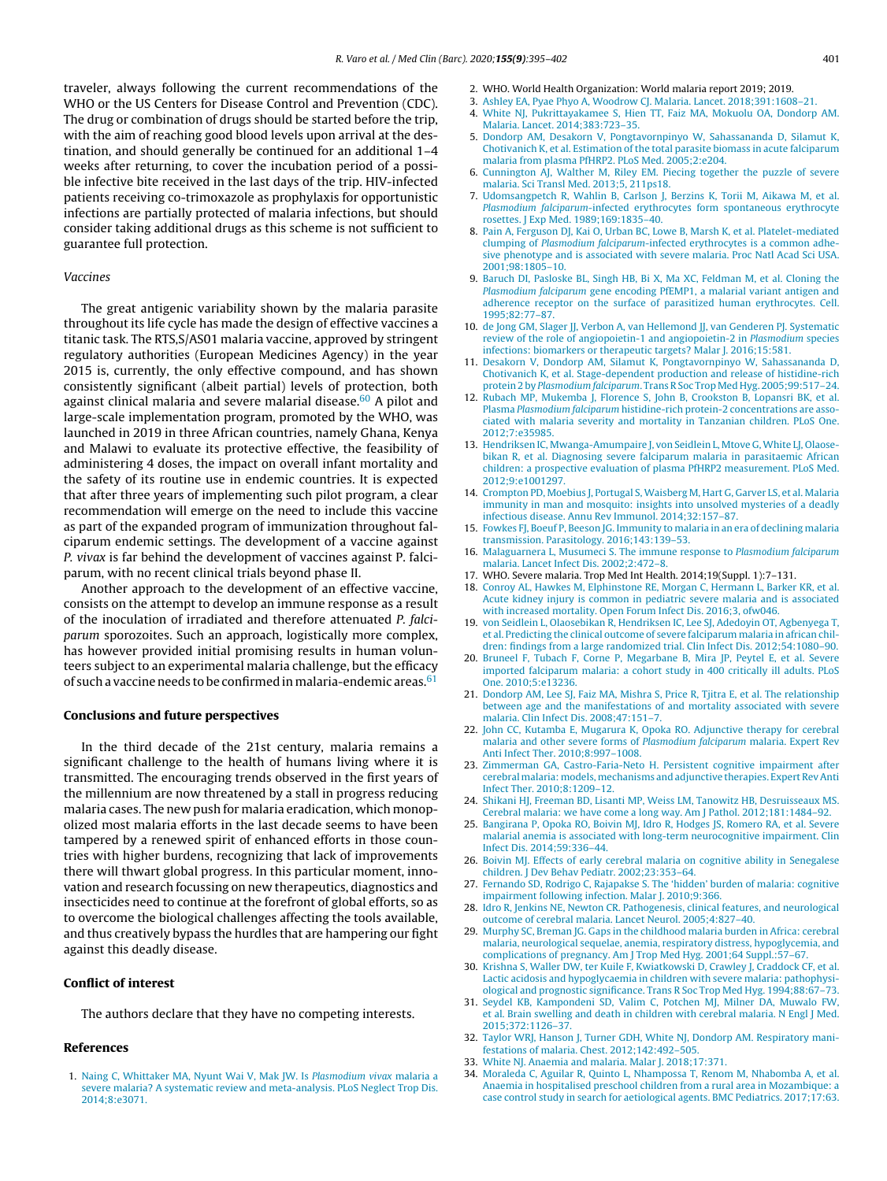traveler, always following the current recommendations of the WHO or the US Centers for Disease Control and Prevention (CDC). The drug or combination of drugs should be started before the trip, with the aim of reaching good blood levels upon arrival at the destination, and should generally be continued for an additional 1–4 weeks after returning, to cover the incubation period of a possible infective bite received in the last days of the trip. HIV-infected patients receiving co-trimoxazole as prophylaxis for opportunistic infections are partially protected of malaria infections, but should consider taking additional drugs as this scheme is not sufficient to guarantee full protection.

#### Vaccines

The great antigenic variability shown by the malaria parasite throughout its life cycle has made the design of effective vaccines a titanic task. The RTS,S/AS01 malaria vaccine, approved by stringent regulatory authorities (European Medicines Agency) in the year 2015 is, currently, the only effective compound, and has shown consistently significant (albeit partial) levels of protection, both against clinical malaria and severe malarial disease. $60$  A pilot and large-scale implementation program, promoted by the WHO, was launched in 2019 in three African countries, namely Ghana, Kenya and Malawi to evaluate its protective effective, the feasibility of administering 4 doses, the impact on overall infant mortality and the safety of its routine use in endemic countries. It is expected that after three years of implementing such pilot program, a clear recommendation will emerge on the need to include this vaccine as part of the expanded program of immunization throughout falciparum endemic settings. The development of a vaccine against P. vivax is far behind the development of vaccines against P. falciparum, with no recent clinical trials beyond phase II.

Another approach to the development of an effective vaccine, consists on the attempt to develop an immune response as a result of the inoculation of irradiated and therefore attenuated P. falciparum sporozoites. Such an approach, logistically more complex, has however provided initial promising results in human volunteers subject to an experimental malaria challenge, but the efficacy of such a vaccine needs to be confirmed in malaria-endemic areas.  $61$ 

#### **Conclusions and future perspectives**

In the third decade of the 21st century, malaria remains a significant challenge to the health of humans living where it is transmitted. The encouraging trends observed in the first years of the millennium are now threatened by a stall in progress reducing malaria cases. The new push for malaria eradication, which monopolized most malaria efforts in the last decade seems to have been tampered by a renewed spirit of enhanced efforts in those countries with higher burdens, recognizing that lack of improvements there will thwart global progress. In this particular moment, innovation and research focussing on new therapeutics, diagnostics and insecticides need to continue at the forefront of global efforts, so as to overcome the biological challenges affecting the tools available, and thus creatively bypass the hurdles that are hampering our fight against this deadly disease.

#### **Conflict of interest**

The authors declare that they have no competing interests.

#### **References**

1. Naing C, Whittaker MA, Nyunt Wai V, Mak JW. Is Plasmodium vivax malaria a severe malaria? A systematic review and meta-analysis. PLoS Neglect Trop Dis. 2014;8:e3071.

- 2. WHO. World Health Organization: World malaria report 2019; 2019.
- 3. Ashley EA, Pyae Phyo A, Woodrow CJ. Malaria. Lancet. 2018;391:1608–21.
- 4. White NJ, Pukrittayakamee S, Hien TT, Faiz MA, Mokuolu OA, Dondorp AM. Malaria. Lancet. 2014;383:723–35.
- 5. Dondorp AM, Desakorn V, Pongtavornpinyo W, Sahassananda D, Silamut K, Chotivanich K, et al. Estimation of the total parasite biomass in acute falciparum malaria from plasma PfHRP2. PLoS Med. 2005;2:e204.
- 6. Cunnington AJ, Walther M, Riley EM. Piecing together the puzzle of severe malaria. Sci Transl Med. 2013;5, 211ps18.
- 7. Udomsangpetch R, Wahlin B, Carlson J, Berzins K, Torii M, Aikawa M, et al. Plasmodium falciparum-infected erythrocytes form spontaneous erythrocyte rosettes. J Exp Med. 1989;169:1835–40.
- 8. Pain A, Ferguson DJ, Kai O, Urban BC, Lowe B, Marsh K, et al. Platelet-mediated clumping of Plasmodium falciparum-infected erythrocytes is a common adhesive phenotype and is associated with severe malaria. Proc Natl Acad Sci USA. 2001;98:1805–10.
- 9. Baruch DI, Pasloske BL, Singh HB, Bi X, Ma XC, Feldman M, et al. Cloning the Plasmodium falciparum gene encoding PfEMP1, a malarial variant antigen and adherence receptor on the surface of parasitized human erythrocytes. Cell. 1995;82:77–87.
- 10. de Jong GM, Slager JJ, Verbon A, van Hellemond JJ, van Genderen PJ. Systematic review of the role of angiopoietin-1 and angiopoietin-2 in Plasmodium species infections: biomarkers or therapeutic targets? Malar J. 2016;15:581.
- 11. Desakorn V, Dondorp AM, Silamut K, Pongtavornpinyo W, Sahassananda D, Chotivanich K, et al. Stage-dependent production and release of histidine-rich protein 2 by Plasmodium falciparum. Trans R Soc Trop Med Hyg. 2005;99:517–24.
- 12. Rubach MP, Mukemba J, Florence S, John B, Crookston B, Lopansri BK, et al. Plasma Plasmodium falciparum histidine-rich protein-2 concentrations are associated with malaria severity and mortality in Tanzanian children. PLoS One. 2012;7:e35985.
- 13. Hendriksen IC, Mwanga-Amumpaire J, von Seidlein L, Mtove G, White LJ, Olaosebikan R, et al. Diagnosing severe falciparum malaria in parasitaemic African children: a prospective evaluation of plasma PfHRP2 measurement. PLoS Med. 2012;9:e1001297.
- 14. Crompton PD, Moebius J, Portugal S, Waisberg M, Hart G, Garver LS, et al. Malaria immunity in man and mosquito: insights into unsolved mysteries of a deadly infectious disease. Annu Rev Immunol. 2014;32:157–87.
- 15. Fowkes FJ, Boeuf P, Beeson JG. Immunity to malaria in an era of declining malaria transmission. Parasitology. 2016;143:139–53.
- 16. Malaguarnera L, Musumeci S. The immune response to Plasmodium falciparum malaria. Lancet Infect Dis. 2002;2:472–8.
- 17. WHO. Severe malaria. Trop Med Int Health. 2014;19(Suppl. 1):7–131.
- 18. Conroy AL, Hawkes M, Elphinstone RE, Morgan C, Hermann L, Barker KR, et al. Acute kidney injury is common in pediatric severe malaria and is associated with increased mortality. Open Forum Infect Dis. 2016;3, ofw046.
- 19. von Seidlein L, Olaosebikan R, Hendriksen IC, Lee SJ, Adedoyin OT, Agbenyega T, et al. Predicting the clinical outcome of severe falciparum malaria in african children: findings from a large randomized trial. Clin Infect Dis. 2012;54:1080–90.
- 20. Bruneel F, Tubach F, Corne P, Megarbane B, Mira JP, Peytel E, et al. Severe imported falciparum malaria: a cohort study in 400 critically ill adults. PLoS One. 2010;5:e13236.
- 21. Dondorp AM, Lee SJ, Faiz MA, Mishra S, Price R, Tjitra E, et al. The relationship between age and the manifestations of and mortality associated with severe malaria. Clin Infect Dis. 2008;47:151–7.
- 22. John CC, Kutamba E, Mugarura K, Opoka RO. Adjunctive therapy for cerebral malaria and other severe forms of Plasmodium falciparum malaria. Expert Rev Anti Infect Ther. 2010;8:997–1008.
- 23. Zimmerman GA, Castro-Faria-Neto H. Persistent cognitive impairment after cerebral malaria: models, mechanisms and adjunctive therapies. Expert Rev Anti Infect Ther. 2010;8:1209–12.
- 24. Shikani HJ, Freeman BD, Lisanti MP, Weiss LM, Tanowitz HB, Desruisseaux MS. Cerebral malaria: we have come a long way. Am J Pathol. 2012;181:1484–92.
- 25. Bangirana P, Opoka RO, Boivin MJ, Idro R, Hodges JS, Romero RA, et al. Severe malarial anemia is associated with long-term neurocognitive impairment. Clin Infect Dis. 2014;59:336–44.
- 26. Boivin MJ. Effects of early cerebral malaria on cognitive ability in Senegalese children. J Dev Behav Pediatr. 2002;23:353–64.
- 27. Fernando SD, Rodrigo C, Rajapakse S. The 'hidden' burden of malaria: cognitive impairment following infection. Malar J. 2010;9:366.
- 28. Idro R, Jenkins NE, Newton CR. Pathogenesis, clinical features, and neurological outcome of cerebral malaria. Lancet Neurol. 2005;4:827–40.
- 29. Murphy SC, Breman JG. Gaps in the childhood malaria burden in Africa: cerebral malaria, neurological sequelae, anemia, respiratory distress, hypoglycemia, and complications of pregnancy. Am J Trop Med Hyg. 2001;64 Suppl.:57–67.
- 30. Krishna S, Waller DW, ter Kuile F, Kwiatkowski D, Crawley J, Craddock CF, et al. Lactic acidosis and hypoglycaemia in children with severe malaria: pathophysiological and prognostic significance. Trans R Soc Trop Med Hyg. 1994;88:67–73.
- 31. Seydel KB, Kampondeni SD, Valim C, Potchen MJ, Milner DA, Muwalo FW, et al. Brain swelling and death in children with cerebral malaria. N Engl J Med. 2015;372:1126–37.
- 32. Taylor WRJ, Hanson J, Turner GDH, White NJ, Dondorp AM. Respiratory manifestations of malaria. Chest. 2012;142:492–505.
- 33. White NJ. Anaemia and malaria. Malar J. 2018;17:371.
- 34. Moraleda C, Aguilar R, Quinto L, Nhampossa T, Renom M, Nhabomba A, et al. Anaemia in hospitalised preschool children from a rural area in Mozambique: a case control study in search for aetiological agents. BMC Pediatrics. 2017;17:63.